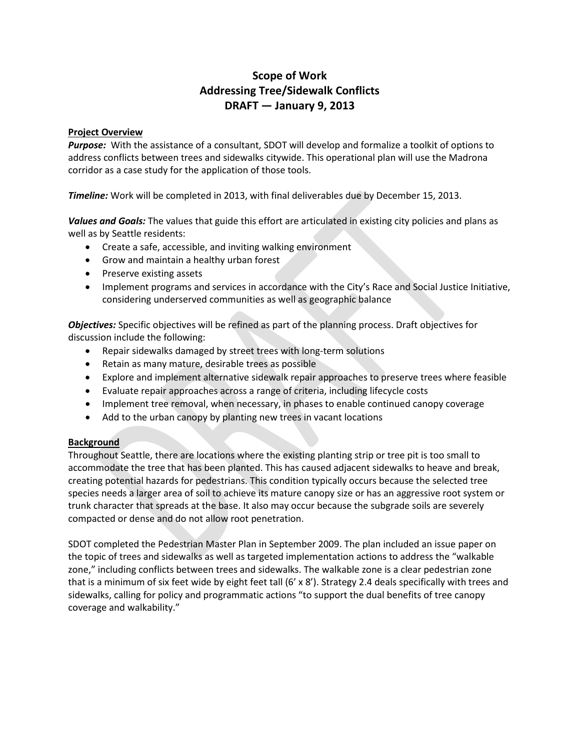# **Scope of Work Addressing Tree/Sidewalk Conflicts DRAFT — January 9, 2013**

## **Project Overview**

*Purpose:* With the assistance of a consultant, SDOT will develop and formalize a toolkit of options to address conflicts between trees and sidewalks citywide. This operational plan will use the Madrona corridor as a case study for the application of those tools.

*Timeline:* Work will be completed in 2013, with final deliverables due by December 15, 2013.

*Values and Goals:* The values that guide this effort are articulated in existing city policies and plans as well as by Seattle residents:

- Create a safe, accessible, and inviting walking environment
- Grow and maintain a healthy urban forest
- Preserve existing assets
- Implement programs and services in accordance with the City's Race and Social Justice Initiative, considering underserved communities as well as geographic balance

*Objectives:* Specific objectives will be refined as part of the planning process. Draft objectives for discussion include the following:

- Repair sidewalks damaged by street trees with long-term solutions
- Retain as many mature, desirable trees as possible
- Explore and implement alternative sidewalk repair approaches to preserve trees where feasible
- Evaluate repair approaches across a range of criteria, including lifecycle costs
- Implement tree removal, when necessary, in phases to enable continued canopy coverage
- Add to the urban canopy by planting new trees in vacant locations

#### **Background**

Throughout Seattle, there are locations where the existing planting strip or tree pit is too small to accommodate the tree that has been planted. This has caused adjacent sidewalks to heave and break, creating potential hazards for pedestrians. This condition typically occurs because the selected tree species needs a larger area of soil to achieve its mature canopy size or has an aggressive root system or trunk character that spreads at the base. It also may occur because the subgrade soils are severely compacted or dense and do not allow root penetration.

SDOT completed the Pedestrian Master Plan in September 2009. The plan included an issue paper on the topic of trees and sidewalks as well as targeted implementation actions to address the "walkable zone," including conflicts between trees and sidewalks. The walkable zone is a clear pedestrian zone that is a minimum of six feet wide by eight feet tall (6' x 8'). Strategy 2.4 deals specifically with trees and sidewalks, calling for policy and programmatic actions "to support the dual benefits of tree canopy coverage and walkability."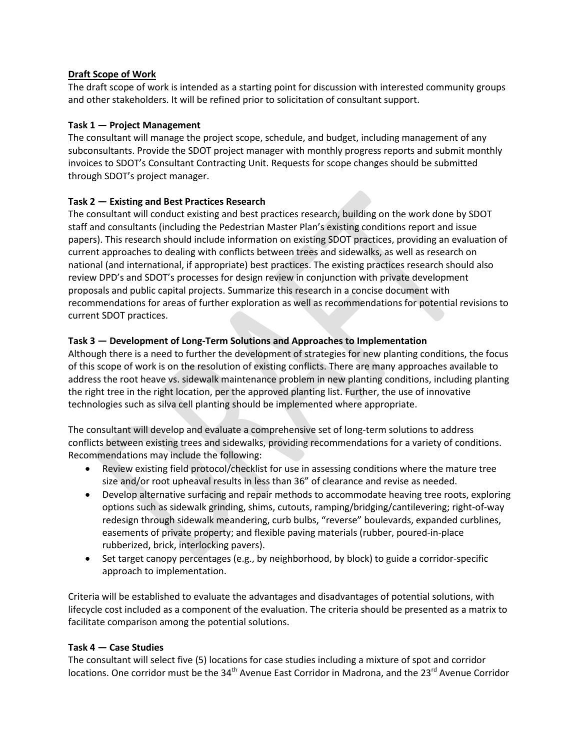## **Draft Scope of Work**

The draft scope of work is intended as a starting point for discussion with interested community groups and other stakeholders. It will be refined prior to solicitation of consultant support.

## **Task 1 — Project Management**

The consultant will manage the project scope, schedule, and budget, including management of any subconsultants. Provide the SDOT project manager with monthly progress reports and submit monthly invoices to SDOT's Consultant Contracting Unit. Requests for scope changes should be submitted through SDOT's project manager.

## **Task 2 — Existing and Best Practices Research**

The consultant will conduct existing and best practices research, building on the work done by SDOT staff and consultants (including the Pedestrian Master Plan's existing conditions report and issue papers). This research should include information on existing SDOT practices, providing an evaluation of current approaches to dealing with conflicts between trees and sidewalks, as well as research on national (and international, if appropriate) best practices. The existing practices research should also review DPD's and SDOT's processes for design review in conjunction with private development proposals and public capital projects. Summarize this research in a concise document with recommendations for areas of further exploration as well as recommendations for potential revisions to current SDOT practices.

## **Task 3 — Development of Long-Term Solutions and Approaches to Implementation**

Although there is a need to further the development of strategies for new planting conditions, the focus of this scope of work is on the resolution of existing conflicts. There are many approaches available to address the root heave vs. sidewalk maintenance problem in new planting conditions, including planting the right tree in the right location, per the approved planting list. Further, the use of innovative technologies such as silva cell planting should be implemented where appropriate.

The consultant will develop and evaluate a comprehensive set of long-term solutions to address conflicts between existing trees and sidewalks, providing recommendations for a variety of conditions. Recommendations may include the following:

- Review existing field protocol/checklist for use in assessing conditions where the mature tree size and/or root upheaval results in less than 36" of clearance and revise as needed.
- Develop alternative surfacing and repair methods to accommodate heaving tree roots, exploring options such as sidewalk grinding, shims, cutouts, ramping/bridging/cantilevering; right-of-way redesign through sidewalk meandering, curb bulbs, "reverse" boulevards, expanded curblines, easements of private property; and flexible paving materials (rubber, poured-in-place rubberized, brick, interlocking pavers).
- Set target canopy percentages (e.g., by neighborhood, by block) to guide a corridor-specific approach to implementation.

Criteria will be established to evaluate the advantages and disadvantages of potential solutions, with lifecycle cost included as a component of the evaluation. The criteria should be presented as a matrix to facilitate comparison among the potential solutions.

## **Task 4 — Case Studies**

The consultant will select five (5) locations for case studies including a mixture of spot and corridor locations. One corridor must be the 34<sup>th</sup> Avenue East Corridor in Madrona, and the 23<sup>rd</sup> Avenue Corridor